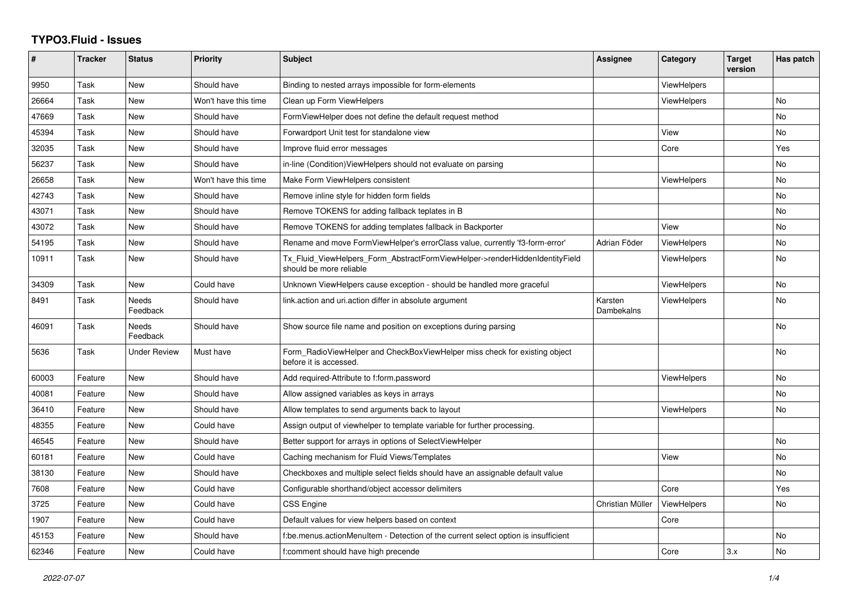## **TYPO3.Fluid - Issues**

| $\pmb{\#}$ | <b>Tracker</b> | <b>Status</b>            | <b>Priority</b>      | <b>Subject</b>                                                                                         | Assignee              | Category           | <b>Target</b><br>version | Has patch |
|------------|----------------|--------------------------|----------------------|--------------------------------------------------------------------------------------------------------|-----------------------|--------------------|--------------------------|-----------|
| 9950       | Task           | New                      | Should have          | Binding to nested arrays impossible for form-elements                                                  |                       | ViewHelpers        |                          |           |
| 26664      | Task           | <b>New</b>               | Won't have this time | Clean up Form ViewHelpers                                                                              |                       | <b>ViewHelpers</b> |                          | <b>No</b> |
| 47669      | Task           | New                      | Should have          | FormViewHelper does not define the default request method                                              |                       |                    |                          | No        |
| 45394      | Task           | <b>New</b>               | Should have          | Forwardport Unit test for standalone view                                                              |                       | View               |                          | No        |
| 32035      | Task           | New                      | Should have          | Improve fluid error messages                                                                           |                       | Core               |                          | Yes       |
| 56237      | Task           | New                      | Should have          | in-line (Condition) View Helpers should not evaluate on parsing                                        |                       |                    |                          | No        |
| 26658      | Task           | New                      | Won't have this time | Make Form ViewHelpers consistent                                                                       |                       | <b>ViewHelpers</b> |                          | <b>No</b> |
| 42743      | Task           | <b>New</b>               | Should have          | Remove inline style for hidden form fields                                                             |                       |                    |                          | <b>No</b> |
| 43071      | Task           | <b>New</b>               | Should have          | Remove TOKENS for adding fallback teplates in B                                                        |                       |                    |                          | <b>No</b> |
| 43072      | Task           | New                      | Should have          | Remove TOKENS for adding templates fallback in Backporter                                              |                       | View               |                          | No        |
| 54195      | Task           | <b>New</b>               | Should have          | Rename and move FormViewHelper's errorClass value, currently 'f3-form-error'                           | Adrian Föder          | <b>ViewHelpers</b> |                          | <b>No</b> |
| 10911      | Task           | New                      | Should have          | Tx Fluid ViewHelpers Form AbstractFormViewHelper->renderHiddenIdentityField<br>should be more reliable |                       | ViewHelpers        |                          | No        |
| 34309      | Task           | New                      | Could have           | Unknown ViewHelpers cause exception - should be handled more graceful                                  |                       | ViewHelpers        |                          | No        |
| 8491       | Task           | <b>Needs</b><br>Feedback | Should have          | link.action and uri.action differ in absolute argument                                                 | Karsten<br>Dambekalns | <b>ViewHelpers</b> |                          | <b>No</b> |
| 46091      | Task           | Needs<br>Feedback        | Should have          | Show source file name and position on exceptions during parsing                                        |                       |                    |                          | No        |
| 5636       | Task           | <b>Under Review</b>      | Must have            | Form RadioViewHelper and CheckBoxViewHelper miss check for existing object<br>before it is accessed.   |                       |                    |                          | No        |
| 60003      | Feature        | <b>New</b>               | Should have          | Add required-Attribute to f:form.password                                                              |                       | <b>ViewHelpers</b> |                          | <b>No</b> |
| 40081      | Feature        | New                      | Should have          | Allow assigned variables as keys in arrays                                                             |                       |                    |                          | No        |
| 36410      | Feature        | New                      | Should have          | Allow templates to send arguments back to layout                                                       |                       | <b>ViewHelpers</b> |                          | <b>No</b> |
| 48355      | Feature        | New                      | Could have           | Assign output of viewhelper to template variable for further processing.                               |                       |                    |                          |           |
| 46545      | Feature        | New                      | Should have          | Better support for arrays in options of SelectViewHelper                                               |                       |                    |                          | <b>No</b> |
| 60181      | Feature        | New                      | Could have           | Caching mechanism for Fluid Views/Templates                                                            |                       | View               |                          | No        |
| 38130      | Feature        | New                      | Should have          | Checkboxes and multiple select fields should have an assignable default value                          |                       |                    |                          | No        |
| 7608       | Feature        | <b>New</b>               | Could have           | Configurable shorthand/object accessor delimiters                                                      |                       | Core               |                          | Yes       |
| 3725       | Feature        | New                      | Could have           | <b>CSS Engine</b>                                                                                      | Christian Müller      | ViewHelpers        |                          | No        |
| 1907       | Feature        | <b>New</b>               | Could have           | Default values for view helpers based on context                                                       |                       | Core               |                          |           |
| 45153      | Feature        | New                      | Should have          | f:be.menus.actionMenuItem - Detection of the current select option is insufficient                     |                       |                    |                          | No        |
| 62346      | Feature        | New                      | Could have           | f:comment should have high precende                                                                    |                       | Core               | 3.x                      | No        |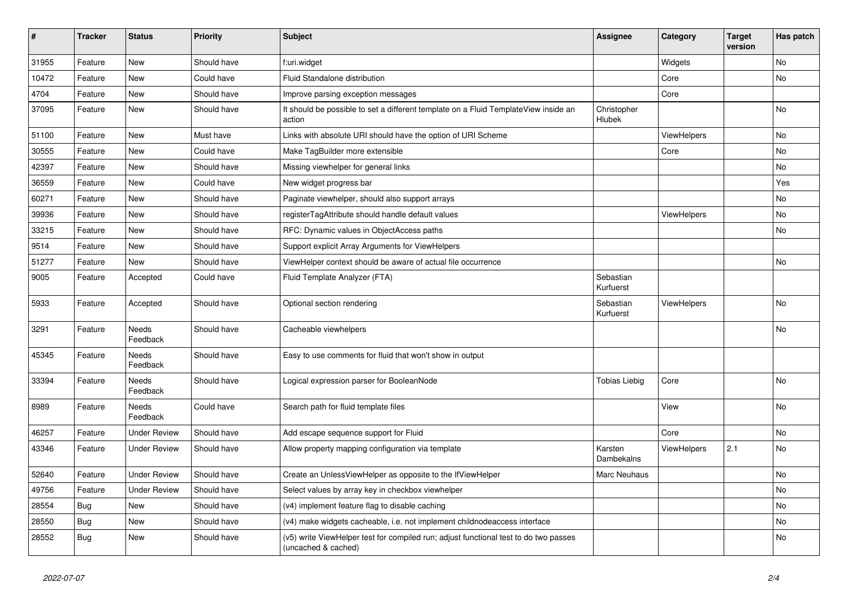| $\vert$ # | <b>Tracker</b> | <b>Status</b>            | <b>Priority</b> | <b>Subject</b>                                                                                              | <b>Assignee</b>        | Category           | <b>Target</b><br>version | Has patch |
|-----------|----------------|--------------------------|-----------------|-------------------------------------------------------------------------------------------------------------|------------------------|--------------------|--------------------------|-----------|
| 31955     | Feature        | New                      | Should have     | f:uri.widget                                                                                                |                        | Widgets            |                          | No        |
| 10472     | Feature        | New                      | Could have      | Fluid Standalone distribution                                                                               |                        | Core               |                          | No        |
| 4704      | Feature        | <b>New</b>               | Should have     | Improve parsing exception messages                                                                          |                        | Core               |                          |           |
| 37095     | Feature        | <b>New</b>               | Should have     | It should be possible to set a different template on a Fluid TemplateView inside an<br>action               | Christopher<br>Hlubek  |                    |                          | <b>No</b> |
| 51100     | Feature        | New                      | Must have       | Links with absolute URI should have the option of URI Scheme                                                |                        | ViewHelpers        |                          | No        |
| 30555     | Feature        | New                      | Could have      | Make TagBuilder more extensible                                                                             |                        | Core               |                          | No        |
| 42397     | Feature        | New                      | Should have     | Missing viewhelper for general links                                                                        |                        |                    |                          | No        |
| 36559     | Feature        | New                      | Could have      | New widget progress bar                                                                                     |                        |                    |                          | Yes       |
| 60271     | Feature        | New                      | Should have     | Paginate viewhelper, should also support arrays                                                             |                        |                    |                          | No        |
| 39936     | Feature        | New                      | Should have     | registerTagAttribute should handle default values                                                           |                        | ViewHelpers        |                          | <b>No</b> |
| 33215     | Feature        | New                      | Should have     | RFC: Dynamic values in ObjectAccess paths                                                                   |                        |                    |                          | <b>No</b> |
| 9514      | Feature        | New                      | Should have     | Support explicit Array Arguments for ViewHelpers                                                            |                        |                    |                          |           |
| 51277     | Feature        | New                      | Should have     | ViewHelper context should be aware of actual file occurrence                                                |                        |                    |                          | <b>No</b> |
| 9005      | Feature        | Accepted                 | Could have      | Fluid Template Analyzer (FTA)                                                                               | Sebastian<br>Kurfuerst |                    |                          |           |
| 5933      | Feature        | Accepted                 | Should have     | Optional section rendering                                                                                  | Sebastian<br>Kurfuerst | ViewHelpers        |                          | <b>No</b> |
| 3291      | Feature        | <b>Needs</b><br>Feedback | Should have     | Cacheable viewhelpers                                                                                       |                        |                    |                          | <b>No</b> |
| 45345     | Feature        | Needs<br>Feedback        | Should have     | Easy to use comments for fluid that won't show in output                                                    |                        |                    |                          |           |
| 33394     | Feature        | Needs<br>Feedback        | Should have     | Logical expression parser for BooleanNode                                                                   | <b>Tobias Liebig</b>   | Core               |                          | <b>No</b> |
| 8989      | Feature        | Needs<br>Feedback        | Could have      | Search path for fluid template files                                                                        |                        | View               |                          | <b>No</b> |
| 46257     | Feature        | <b>Under Review</b>      | Should have     | Add escape sequence support for Fluid                                                                       |                        | Core               |                          | No        |
| 43346     | Feature        | <b>Under Review</b>      | Should have     | Allow property mapping configuration via template                                                           | Karsten<br>Dambekalns  | <b>ViewHelpers</b> | 2.1                      | No        |
| 52640     | Feature        | <b>Under Review</b>      | Should have     | Create an UnlessViewHelper as opposite to the IfViewHelper                                                  | Marc Neuhaus           |                    |                          | No        |
| 49756     | Feature        | <b>Under Review</b>      | Should have     | Select values by array key in checkbox viewhelper                                                           |                        |                    |                          | No        |
| 28554     | Bug            | New                      | Should have     | (v4) implement feature flag to disable caching                                                              |                        |                    |                          | <b>No</b> |
| 28550     | Bug            | New                      | Should have     | (v4) make widgets cacheable, i.e. not implement childnodeaccess interface                                   |                        |                    |                          | <b>No</b> |
| 28552     | <b>Bug</b>     | New                      | Should have     | (v5) write ViewHelper test for compiled run; adjust functional test to do two passes<br>(uncached & cached) |                        |                    |                          | No        |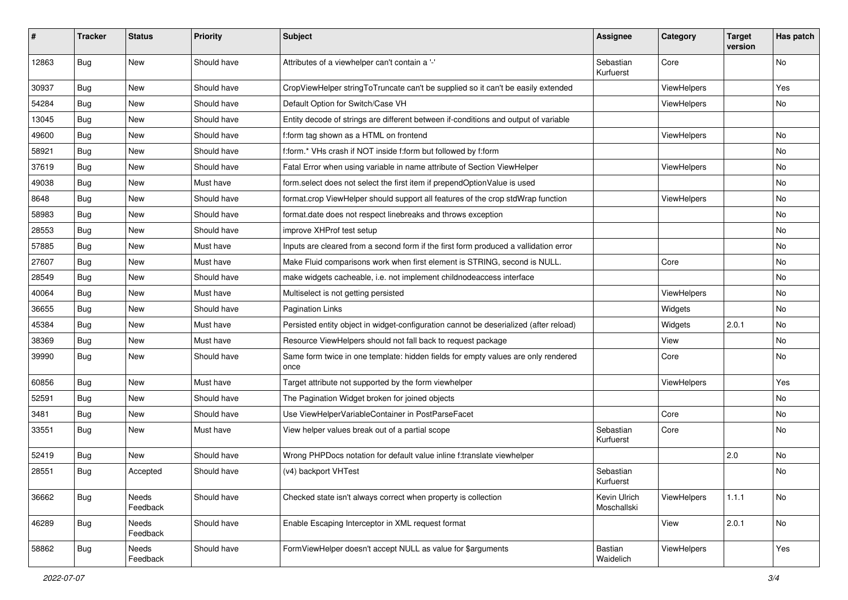| ∦     | <b>Tracker</b> | <b>Status</b>     | <b>Priority</b> | <b>Subject</b>                                                                            | <b>Assignee</b>             | Category    | <b>Target</b><br>version | Has patch |
|-------|----------------|-------------------|-----------------|-------------------------------------------------------------------------------------------|-----------------------------|-------------|--------------------------|-----------|
| 12863 | Bug            | New               | Should have     | Attributes of a viewhelper can't contain a '-'                                            | Sebastian<br>Kurfuerst      | Core        |                          | No        |
| 30937 | Bug            | New               | Should have     | CropViewHelper stringToTruncate can't be supplied so it can't be easily extended          |                             | ViewHelpers |                          | Yes       |
| 54284 | Bug            | New               | Should have     | Default Option for Switch/Case VH                                                         |                             | ViewHelpers |                          | No        |
| 13045 | Bug            | New               | Should have     | Entity decode of strings are different between if-conditions and output of variable       |                             |             |                          |           |
| 49600 | Bug            | New               | Should have     | f:form tag shown as a HTML on frontend                                                    |                             | ViewHelpers |                          | No        |
| 58921 | <b>Bug</b>     | New               | Should have     | f:form.* VHs crash if NOT inside f:form but followed by f:form                            |                             |             |                          | No        |
| 37619 | Bug            | New               | Should have     | Fatal Error when using variable in name attribute of Section ViewHelper                   |                             | ViewHelpers |                          | No        |
| 49038 | Bug            | New               | Must have       | form.select does not select the first item if prependOptionValue is used                  |                             |             |                          | No        |
| 8648  | Bug            | New               | Should have     | format.crop ViewHelper should support all features of the crop stdWrap function           |                             | ViewHelpers |                          | No        |
| 58983 | Bug            | New               | Should have     | format.date does not respect linebreaks and throws exception                              |                             |             |                          | No        |
| 28553 | Bug            | New               | Should have     | improve XHProf test setup                                                                 |                             |             |                          | No        |
| 57885 | Bug            | New               | Must have       | Inputs are cleared from a second form if the first form produced a vallidation error      |                             |             |                          | No        |
| 27607 | Bug            | New               | Must have       | Make Fluid comparisons work when first element is STRING, second is NULL.                 |                             | Core        |                          | No        |
| 28549 | Bug            | New               | Should have     | make widgets cacheable, i.e. not implement childnodeaccess interface                      |                             |             |                          | No        |
| 40064 | Bug            | New               | Must have       | Multiselect is not getting persisted                                                      |                             | ViewHelpers |                          | No        |
| 36655 | Bug            | New               | Should have     | <b>Pagination Links</b>                                                                   |                             | Widgets     |                          | <b>No</b> |
| 45384 | Bug            | New               | Must have       | Persisted entity object in widget-configuration cannot be deserialized (after reload)     |                             | Widgets     | 2.0.1                    | No        |
| 38369 | Bug            | <b>New</b>        | Must have       | Resource ViewHelpers should not fall back to request package                              |                             | View        |                          | No.       |
| 39990 | Bug            | New               | Should have     | Same form twice in one template: hidden fields for empty values are only rendered<br>once |                             | Core        |                          | No        |
| 60856 | Bug            | New               | Must have       | Target attribute not supported by the form viewhelper                                     |                             | ViewHelpers |                          | Yes       |
| 52591 | Bug            | New               | Should have     | The Pagination Widget broken for joined objects                                           |                             |             |                          | No.       |
| 3481  | Bug            | New               | Should have     | Use ViewHelperVariableContainer in PostParseFacet                                         |                             | Core        |                          | No        |
| 33551 | Bug            | New               | Must have       | View helper values break out of a partial scope                                           | Sebastian<br>Kurfuerst      | Core        |                          | No        |
| 52419 | Bug            | <b>New</b>        | Should have     | Wrong PHPDocs notation for default value inline f:translate viewhelper                    |                             |             | 2.0                      | No        |
| 28551 | Bug            | Accepted          | Should have     | (v4) backport VHTest                                                                      | Sebastian<br>Kurfuerst      |             |                          | No        |
| 36662 | <b>Bug</b>     | Needs<br>Feedback | Should have     | Checked state isn't always correct when property is collection                            | Kevin Ulrich<br>Moschallski | ViewHelpers | 1.1.1                    | No        |
| 46289 | Bug            | Needs<br>Feedback | Should have     | Enable Escaping Interceptor in XML request format                                         |                             | View        | 2.0.1                    | No        |
| 58862 | <b>Bug</b>     | Needs<br>Feedback | Should have     | FormViewHelper doesn't accept NULL as value for \$arguments                               | Bastian<br>Waidelich        | ViewHelpers |                          | Yes       |